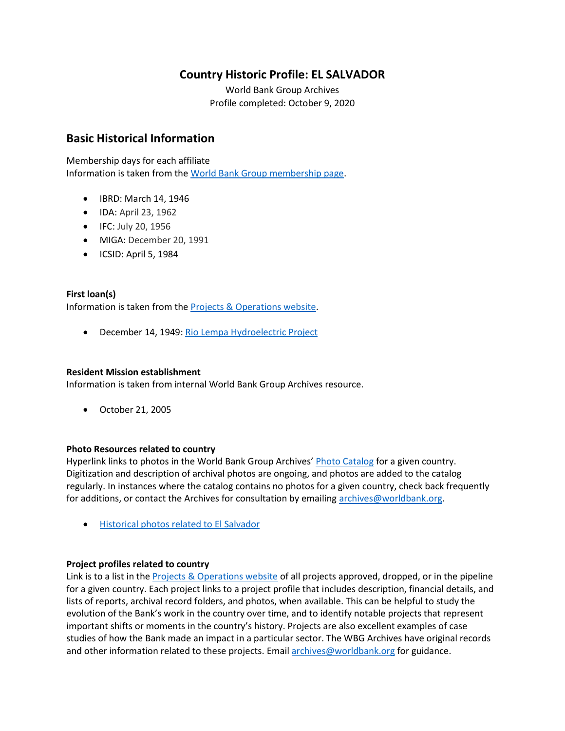# **Country Historic Profile: EL SALVADOR**

World Bank Group Archives Profile completed: October 9, 2020

## **Basic Historical Information**

Membership days for each affiliate Information is taken from the [World Bank Group membership page.](https://www.worldbank.org/en/about/leadership/members#1)

- IBRD: March 14, 1946
- IDA: April 23, 1962
- IFC: July 20, 1956
- MIGA: December 20, 1991
- ICSID: April 5, 1984

## **First loan(s)**

Information is taken from the [Projects & Operations website.](https://projects.worldbank.org/)

• December 14, 1949: [Rio Lempa Hydroelectric Project](https://projects.worldbank.org/en/projects-operations/project-detail/P007137)

### **Resident Mission establishment**

Information is taken from internal World Bank Group Archives resource.

• October 21, 2005

### **Photo Resources related to country**

Hyperlink links to photos in the World Bank Group Archives' [Photo Catalog](https://archivesphotos.worldbank.org/en/about/archives/photo-gallery) for a given country. Digitization and description of archival photos are ongoing, and photos are added to the catalog regularly. In instances where the catalog contains no photos for a given country, check back frequently for additions, or contact the Archives for consultation by emailing [archives@worldbank.org.](mailto:archives@worldbank.org)

• [Historical photos related to El Salvador](https://archivesphotos.worldbank.org/en/about/archives/photo-gallery/photo-gallery-landing?&qterm=%20El%20Salvador)

### **Project profiles related to country**

Link is to a list in the [Projects & Operations website](https://projects.worldbank.org/) of all projects approved, dropped, or in the pipeline for a given country. Each project links to a project profile that includes description, financial details, and lists of reports, archival record folders, and photos, when available. This can be helpful to study the evolution of the Bank's work in the country over time, and to identify notable projects that represent important shifts or moments in the country's history. Projects are also excellent examples of case studies of how the Bank made an impact in a particular sector. The WBG Archives have original records and other information related to these projects. Email [archives@worldbank.org](mailto:archives@worldbank.org) for guidance.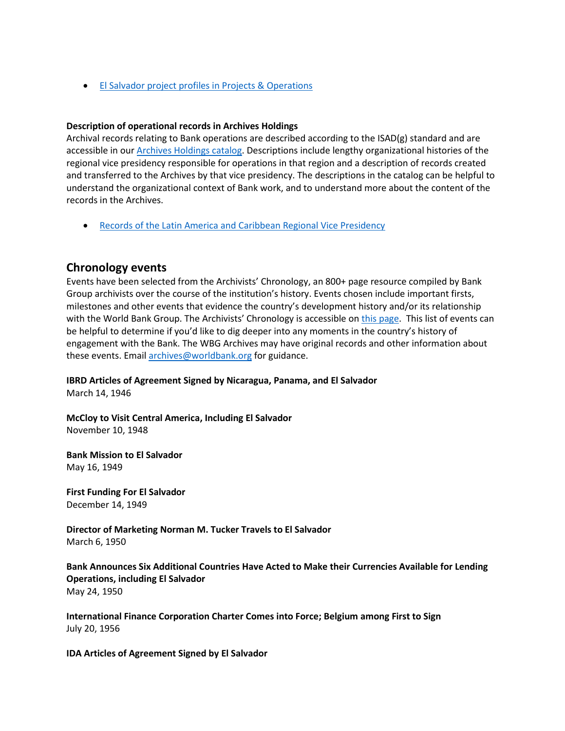• El Salvador [project profiles in Projects & Operations](https://projects.worldbank.org/en/projects-operations/projects-list?countrycode_exact=SV)

#### **Description of operational records in Archives Holdings**

Archival records relating to Bank operations are described according to the ISAD(g) standard and are accessible in our [Archives Holdings catalog.](https://archivesholdings.worldbank.org/) Descriptions include lengthy organizational histories of the regional vice presidency responsible for operations in that region and a description of records created and transferred to the Archives by that vice presidency. The descriptions in the catalog can be helpful to understand the organizational context of Bank work, and to understand more about the content of the records in the Archives.

• [Records of the Latin America and Caribbean Regional Vice Presidency](https://archivesholdings.worldbank.org/records-of-latin-america-and-caribbean-regional-vice-presidency)

## **Chronology events**

Events have been selected from the Archivists' Chronology, an 800+ page resource compiled by Bank Group archivists over the course of the institution's history. Events chosen include important firsts, milestones and other events that evidence the country's development history and/or its relationship with the World Bank Group. The Archivists' Chronology is accessible on [this page.](https://www.worldbank.org/en/about/archives/history/timeline) This list of events can be helpful to determine if you'd like to dig deeper into any moments in the country's history of engagement with the Bank. The WBG Archives may have original records and other information about these events. Email [archives@worldbank.org](mailto:archives@worldbank.org) for guidance.

**IBRD Articles of Agreement Signed by Nicaragua, Panama, and El Salvador**

March 14, 1946

**McCloy to Visit Central America, Including El Salvador**  November 10, 1948

**Bank Mission to El Salvador** May 16, 1949

**First Funding For El Salvador** December 14, 1949

**Director of Marketing Norman M. Tucker Travels to El Salvador** March 6, 1950

**Bank Announces Six Additional Countries Have Acted to Make their Currencies Available for Lending Operations, including El Salvador** May 24, 1950

**International Finance Corporation Charter Comes into Force; Belgium among First to Sign**  July 20, 1956

**IDA Articles of Agreement Signed by El Salvador**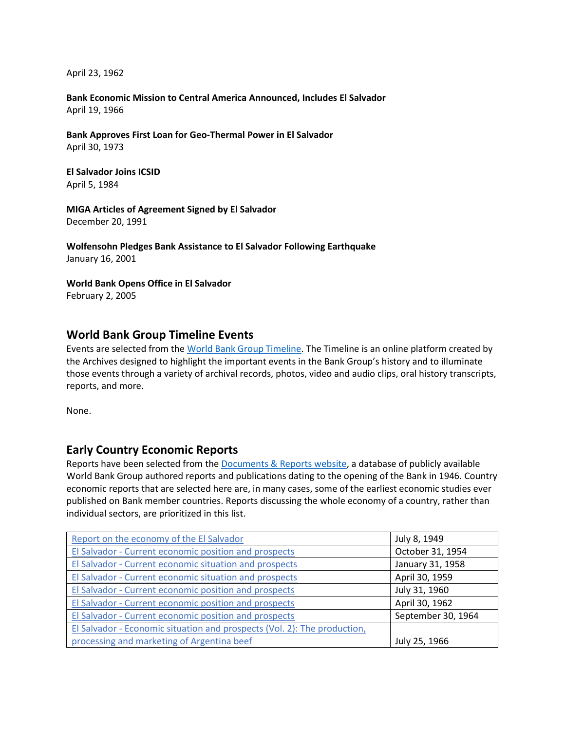April 23, 1962

**Bank Economic Mission to Central America Announced, Includes El Salvador**  April 19, 1966

**Bank Approves First Loan for Geo-Thermal Power in El Salvador**  April 30, 1973

**El Salvador Joins ICSID** April 5, 1984

**MIGA Articles of Agreement Signed by El Salvador** December 20, 1991

**Wolfensohn Pledges Bank Assistance to El Salvador Following Earthquake** January 16, 2001

**World Bank Opens Office in El Salvador** February 2, 2005

## **World Bank Group Timeline Events**

Events are selected from th[e World Bank Group Timeline.](https://timeline.worldbank.org/#event-bretton-woods-conference-begins) The Timeline is an online platform created by the Archives designed to highlight the important events in the Bank Group's history and to illuminate those events through a variety of archival records, photos, video and audio clips, oral history transcripts, reports, and more.

None.

## **Early Country Economic Reports**

Reports have been selected from the [Documents & Reports website,](https://documents.worldbank.org/) a database of publicly available World Bank Group authored reports and publications dating to the opening of the Bank in 1946. Country economic reports that are selected here are, in many cases, some of the earliest economic studies ever published on Bank member countries. Reports discussing the whole economy of a country, rather than individual sectors, are prioritized in this list.

| Report on the economy of the El Salvador                                 | July 8, 1949       |
|--------------------------------------------------------------------------|--------------------|
| El Salvador - Current economic position and prospects                    | October 31, 1954   |
| El Salvador - Current economic situation and prospects                   | January 31, 1958   |
| El Salvador - Current economic situation and prospects                   | April 30, 1959     |
| El Salvador - Current economic position and prospects                    | July 31, 1960      |
| El Salvador - Current economic position and prospects                    | April 30, 1962     |
| El Salvador - Current economic position and prospects                    | September 30, 1964 |
| El Salvador - Economic situation and prospects (Vol. 2): The production, |                    |
| processing and marketing of Argentina beef                               | July 25, 1966      |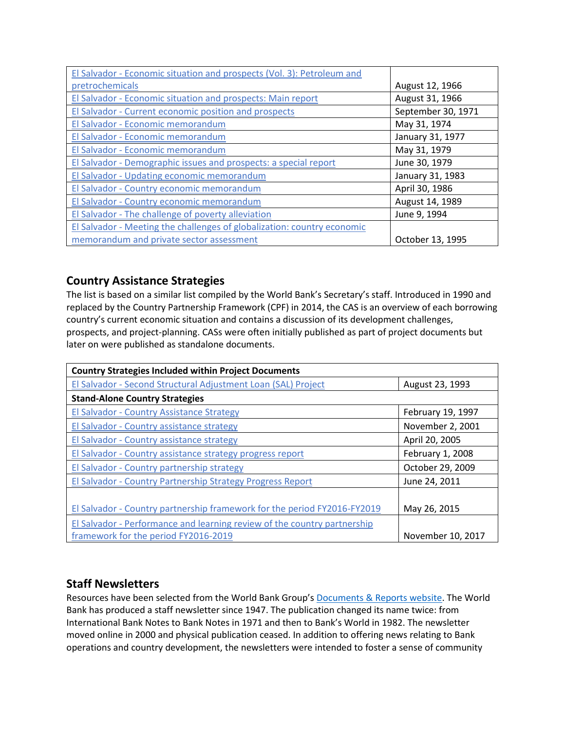| El Salvador - Economic situation and prospects (Vol. 3): Petroleum and  |                    |
|-------------------------------------------------------------------------|--------------------|
| pretrochemicals                                                         | August 12, 1966    |
| El Salvador - Economic situation and prospects: Main report             | August 31, 1966    |
| El Salvador - Current economic position and prospects                   | September 30, 1971 |
| El Salvador - Economic memorandum                                       | May 31, 1974       |
| El Salvador - Economic memorandum                                       | January 31, 1977   |
| El Salvador - Economic memorandum                                       | May 31, 1979       |
| El Salvador - Demographic issues and prospects: a special report        | June 30, 1979      |
| El Salvador - Updating economic memorandum                              | January 31, 1983   |
| El Salvador - Country economic memorandum                               | April 30, 1986     |
| El Salvador - Country economic memorandum                               | August 14, 1989    |
| El Salvador - The challenge of poverty alleviation                      | June 9, 1994       |
| El Salvador - Meeting the challenges of globalization: country economic |                    |
| memorandum and private sector assessment                                | October 13, 1995   |

# **Country Assistance Strategies**

The list is based on a similar list compiled by the World Bank's Secretary's staff. Introduced in 1990 and replaced by the Country Partnership Framework (CPF) in 2014, the CAS is an overview of each borrowing country's current economic situation and contains a discussion of its development challenges, prospects, and project-planning. CASs were often initially published as part of project documents but later on were published as standalone documents.

| <b>Country Strategies Included within Project Documents</b>              |                   |  |
|--------------------------------------------------------------------------|-------------------|--|
| El Salvador - Second Structural Adjustment Loan (SAL) Project            | August 23, 1993   |  |
| <b>Stand-Alone Country Strategies</b>                                    |                   |  |
| El Salvador - Country Assistance Strategy                                | February 19, 1997 |  |
| El Salvador - Country assistance strategy                                | November 2, 2001  |  |
| El Salvador - Country assistance strategy                                | April 20, 2005    |  |
| El Salvador - Country assistance strategy progress report                | February 1, 2008  |  |
| El Salvador - Country partnership strategy                               | October 29, 2009  |  |
| El Salvador - Country Partnership Strategy Progress Report               | June 24, 2011     |  |
|                                                                          |                   |  |
| El Salvador - Country partnership framework for the period FY2016-FY2019 | May 26, 2015      |  |
| El Salvador - Performance and learning review of the country partnership |                   |  |
| framework for the period FY2016-2019                                     | November 10, 2017 |  |

# **Staff Newsletters**

Resources have been selected from the World Bank Group's [Documents & Reports website.](https://documents.worldbank.org/) The World Bank has produced a staff newsletter since 1947. The publication changed its name twice: from International Bank Notes to Bank Notes in 1971 and then to Bank's World in 1982. The newsletter moved online in 2000 and physical publication ceased. In addition to offering news relating to Bank operations and country development, the newsletters were intended to foster a sense of community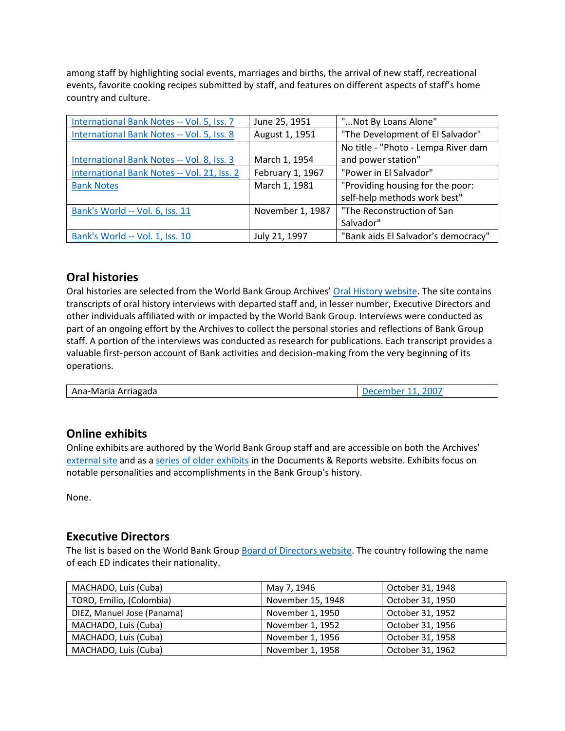among staff by highlighting social events, marriages and births, the arrival of new staff, recreational events, favorite cooking recipes submitted by staff, and features on different aspects of staff's home country and culture.

| International Bank Notes -- Vol. 5, Iss. 7  | June 25, 1951    | "Not By Loans Alone"                |
|---------------------------------------------|------------------|-------------------------------------|
| International Bank Notes -- Vol. 5, Iss. 8  | August 1, 1951   | "The Development of El Salvador"    |
|                                             |                  | No title - "Photo - Lempa River dam |
| International Bank Notes -- Vol. 8, Iss. 3  | March 1, 1954    | and power station"                  |
| International Bank Notes -- Vol. 21, Iss. 2 | February 1, 1967 | "Power in El Salvador"              |
| <b>Bank Notes</b>                           | March 1, 1981    | "Providing housing for the poor:    |
|                                             |                  | self-help methods work best"        |
| Bank's World -- Vol. 6, Iss. 11             | November 1, 1987 | "The Reconstruction of San          |
|                                             |                  | Salvador"                           |
| Bank's World -- Vol. 1, Iss. 10             | July 21, 1997    | "Bank aids El Salvador's democracy" |

# **Oral histories**

Oral histories are selected from the World Bank Group Archives' [Oral History website.](https://oralhistory.worldbank.org/) The site contains transcripts of oral history interviews with departed staff and, in lesser number, Executive Directors and other individuals affiliated with or impacted by the World Bank Group. Interviews were conducted as part of an ongoing effort by the Archives to collect the personal stories and reflections of Bank Group staff. A portion of the interviews was conducted as research for publications. Each transcript provides a valuable first-person account of Bank activities and decision-making from the very beginning of its operations.

| Ana-Maria Arriagada | December 11, 2007 |
|---------------------|-------------------|
|---------------------|-------------------|

## **Online exhibits**

Online exhibits are authored by the World Bank Group staff and are accessible on both the Archives' [external site](https://www.worldbank.org/en/about/archives/history/exhibits) and as a [series of older exhibits](https://documents.worldbank.org/en/publication/documents-reports/documentlist?colti=World%20Bank%20Group%20Archives%20exhibit%20series) in the Documents & Reports website. Exhibits focus on notable personalities and accomplishments in the Bank Group's history.

None.

## **Executive Directors**

The list is based on the World Bank Group [Board of Directors website.](https://worldbankgroup.sharepoint.com/sites/wbsites/ExecutiveBoard/Pages/pc/About-the-Boards-05222019-155532/List-of-Executi-05222019-155839.aspx) The country following the name of each ED indicates their nationality.

| MACHADO, Luis (Cuba)       | May 7, 1946       | October 31, 1948 |
|----------------------------|-------------------|------------------|
| TORO, Emilio, (Colombia)   | November 15, 1948 | October 31, 1950 |
| DIEZ, Manuel Jose (Panama) | November 1, 1950  | October 31, 1952 |
| MACHADO, Luis (Cuba)       | November 1, 1952  | October 31, 1956 |
| MACHADO, Luis (Cuba)       | November 1, 1956  | October 31, 1958 |
| MACHADO, Luis (Cuba)       | November 1, 1958  | October 31, 1962 |